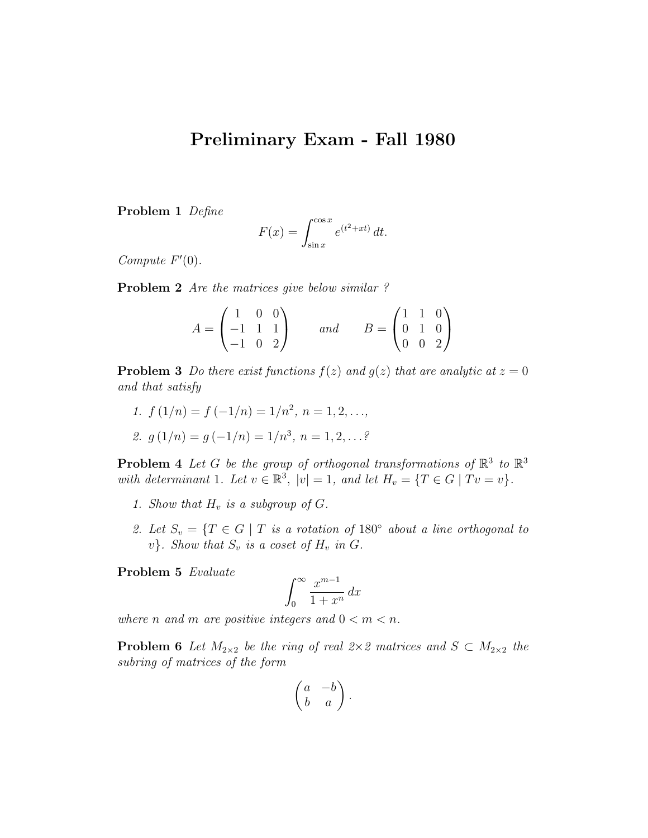## Preliminary Exam - Fall 1980

Problem 1 Define

$$
F(x) = \int_{\sin x}^{\cos x} e^{(t^2 + xt)} dt.
$$

Compute  $F'(0)$ .

Problem 2 Are the matrices give below similar?

|                                                                           |  |     | $B = \begin{pmatrix} 1 & 1 & 0 \\ 0 & 1 & 0 \\ 0 & 0 & 2 \end{pmatrix}$ |  |  |
|---------------------------------------------------------------------------|--|-----|-------------------------------------------------------------------------|--|--|
| $A = \begin{pmatrix} 1 & 0 & 0 \\ -1 & 1 & 1 \\ -1 & 0 & 2 \end{pmatrix}$ |  | and |                                                                         |  |  |
|                                                                           |  |     |                                                                         |  |  |

**Problem 3** Do there exist functions  $f(z)$  and  $g(z)$  that are analytic at  $z = 0$ and that satisfy

1.  $f(1/n) = f(-1/n) = 1/n^2, n = 1, 2, \ldots,$ 

2. 
$$
g(1/n) = g(-1/n) = 1/n^3, n = 1, 2, ...
$$

**Problem 4** Let G be the group of orthogonal transformations of  $\mathbb{R}^3$  to  $\mathbb{R}^3$ with determinant 1. Let  $v \in \mathbb{R}^3$ ,  $|v| = 1$ , and let  $H_v = \{T \in G \mid Tv = v\}$ .

- 1. Show that  $H_v$  is a subgroup of  $G$ .
- 2. Let  $S_v = \{T \in G \mid T \text{ is a rotation of } 180^\circ \text{ about a line orthogonal to }$  $v$ }. Show that  $S_v$  is a coset of  $H_v$  in  $G$ .

Problem 5 Evaluate

$$
\int_0^\infty \frac{x^{m-1}}{1+x^n} \, dx
$$

where n and m are positive integers and  $0 < m < n$ .

**Problem 6** Let  $M_{2\times 2}$  be the ring of real  $2\times 2$  matrices and  $S \subset M_{2\times 2}$  the subring of matrices of the form

$$
\begin{pmatrix} a & -b \\ b & a \end{pmatrix}.
$$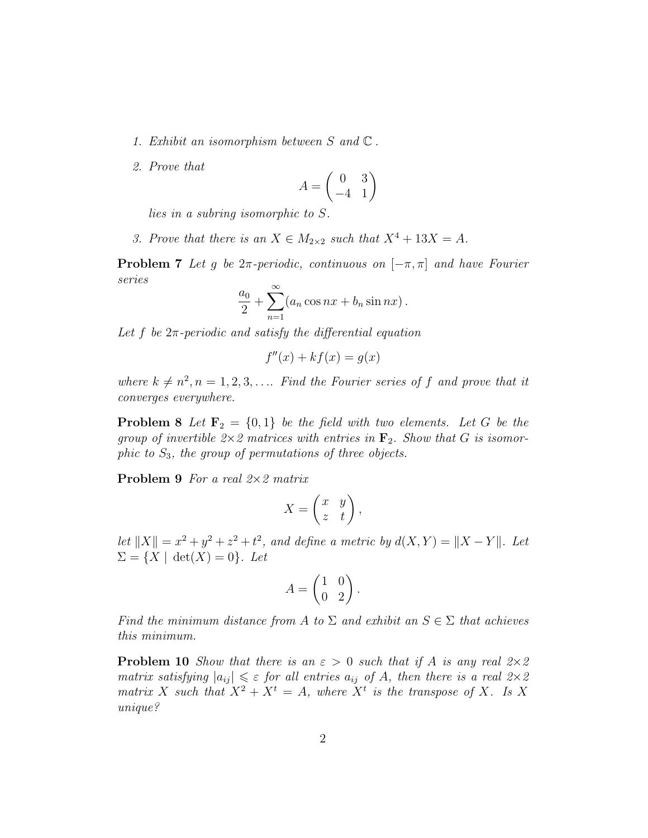- 1. Exhibit an isomorphism between  $S$  and  $\mathbb C$ .
- 2. Prove that

$$
A = \begin{pmatrix} 0 & 3 \\ -4 & 1 \end{pmatrix}
$$

lies in a subring isomorphic to S.

3. Prove that there is an  $X \in M_{2\times 2}$  such that  $X^4 + 13X = A$ .

**Problem 7** Let g be  $2\pi$ -periodic, continuous on  $[-\pi, \pi]$  and have Fourier series

$$
\frac{a_0}{2} + \sum_{n=1}^{\infty} (a_n \cos nx + b_n \sin nx).
$$

Let f be  $2\pi$ -periodic and satisfy the differential equation

$$
f''(x) + kf(x) = g(x)
$$

where  $k \neq n^2, n = 1, 2, 3, \ldots$  Find the Fourier series of f and prove that it converges everywhere.

**Problem 8** Let  $\mathbf{F}_2 = \{0, 1\}$  be the field with two elements. Let G be the group of invertible  $2\times 2$  matrices with entries in  $\mathbf{F}_2$ . Show that G is isomorphic to  $S_3$ , the group of permutations of three objects.

**Problem 9** For a real  $2 \times 2$  matrix

$$
X = \begin{pmatrix} x & y \\ z & t \end{pmatrix},
$$

let  $||X|| = x^2 + y^2 + z^2 + t^2$ , and define a metric by  $d(X, Y) = ||X - Y||$ . Let  $\Sigma = \{X \mid \det(X) = 0\}.$  Let

$$
A = \begin{pmatrix} 1 & 0 \\ 0 & 2 \end{pmatrix}.
$$

Find the minimum distance from A to  $\Sigma$  and exhibit an  $S \in \Sigma$  that achieves this minimum.

**Problem 10** Show that there is an  $\varepsilon > 0$  such that if A is any real  $2 \times 2$ matrix satisfying  $|a_{ij}| \leq \varepsilon$  for all entries  $a_{ij}$  of A, then there is a real  $2 \times 2$ matrix X such that  $X^2 + X^t = A$ , where  $X^t$  is the transpose of X. Is X unique?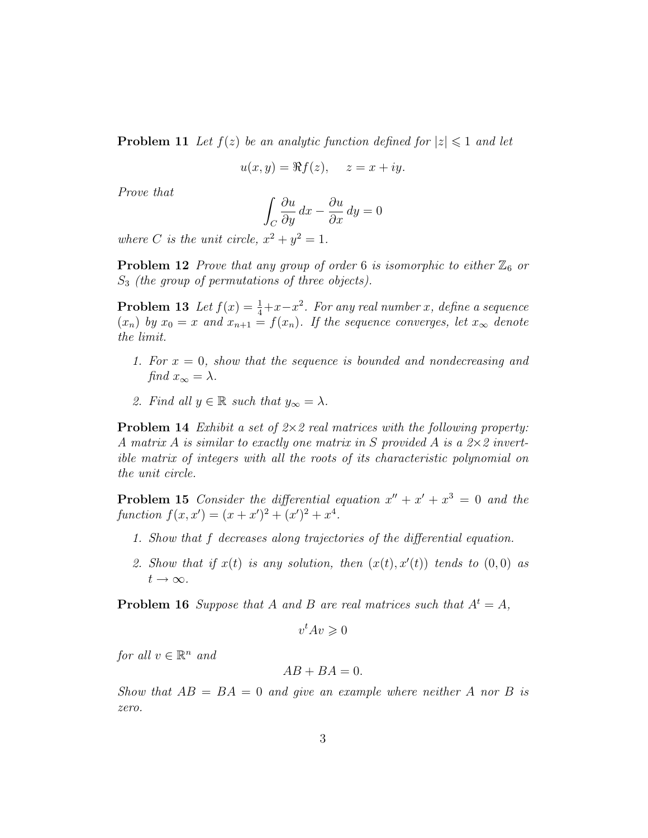**Problem 11** Let  $f(z)$  be an analytic function defined for  $|z| \leq 1$  and let

$$
u(x, y) = \Re f(z), \quad z = x + iy.
$$

Prove that

$$
\int_C \frac{\partial u}{\partial y} dx - \frac{\partial u}{\partial x} dy = 0
$$

where C is the unit circle,  $x^2 + y^2 = 1$ .

**Problem 12** Prove that any group of order 6 is isomorphic to either  $\mathbb{Z}_6$  or  $S_3$  (the group of permutations of three objects).

**Problem 13** Let  $f(x) = \frac{1}{4} + x - x^2$ . For any real number x, define a sequence  $(x_n)$  by  $x_0 = x$  and  $x_{n+1} = f(x_n)$ . If the sequence converges, let  $x_\infty$  denote the limit.

- 1. For  $x = 0$ , show that the sequence is bounded and nondecreasing and find  $x_{\infty} = \lambda$ .
- 2. Find all  $y \in \mathbb{R}$  such that  $y_{\infty} = \lambda$ .

**Problem 14** Exhibit a set of  $2 \times 2$  real matrices with the following property: A matrix A is similar to exactly one matrix in S provided A is a  $2\times 2$  invertible matrix of integers with all the roots of its characteristic polynomial on the unit circle.

**Problem 15** Consider the differential equation  $x'' + x' + x^3 = 0$  and the function  $f(x, x') = (x + x')^{2} + (x')^{2} + x^{4}$ .

- 1. Show that f decreases along trajectories of the differential equation.
- 2. Show that if  $x(t)$  is any solution, then  $(x(t), x'(t))$  tends to  $(0, 0)$  as  $t\to\infty$ .

**Problem 16** Suppose that A and B are real matrices such that  $A^t = A$ ,

 $v^tAv\geqslant 0$ 

for all  $v \in \mathbb{R}^n$  and

$$
AB + BA = 0.
$$

Show that  $AB = BA = 0$  and give an example where neither A nor B is zero.